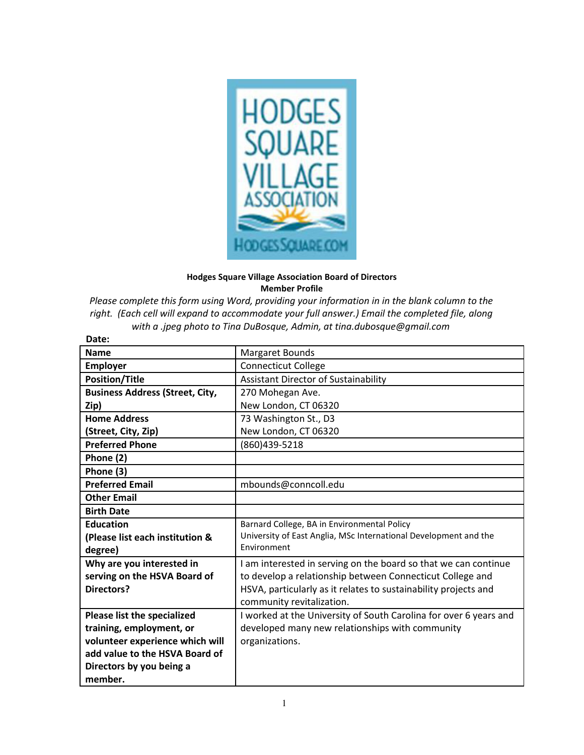

## **Hodges Square Village Association Board of Directors Member Profile**

*Please complete this form using Word, providing your information in in the blank column to the right. (Each cell will expand to accommodate your full answer.) Email the completed file, along with a .jpeg photo to Tina DuBosque, Admin, at tina.dubosque@gmail.com* 

| Date:                                  |                                                                   |
|----------------------------------------|-------------------------------------------------------------------|
| <b>Name</b>                            | Margaret Bounds                                                   |
| <b>Employer</b>                        | <b>Connecticut College</b>                                        |
| <b>Position/Title</b>                  | <b>Assistant Director of Sustainability</b>                       |
| <b>Business Address (Street, City,</b> | 270 Mohegan Ave.                                                  |
| Zip)                                   | New London, CT 06320                                              |
| <b>Home Address</b>                    | 73 Washington St., D3                                             |
| (Street, City, Zip)                    | New London, CT 06320                                              |
| <b>Preferred Phone</b>                 | (860)439-5218                                                     |
| Phone (2)                              |                                                                   |
| Phone (3)                              |                                                                   |
| <b>Preferred Email</b>                 | mbounds@conncoll.edu                                              |
| <b>Other Email</b>                     |                                                                   |
| <b>Birth Date</b>                      |                                                                   |
| <b>Education</b>                       | Barnard College, BA in Environmental Policy                       |
| (Please list each institution &        | University of East Anglia, MSc International Development and the  |
| degree)                                | Environment                                                       |
| Why are you interested in              | I am interested in serving on the board so that we can continue   |
| serving on the HSVA Board of           | to develop a relationship between Connecticut College and         |
| <b>Directors?</b>                      | HSVA, particularly as it relates to sustainability projects and   |
|                                        | community revitalization.                                         |
| Please list the specialized            | I worked at the University of South Carolina for over 6 years and |
| training, employment, or               | developed many new relationships with community                   |
| volunteer experience which will        | organizations.                                                    |
| add value to the HSVA Board of         |                                                                   |
| Directors by you being a               |                                                                   |
| member.                                |                                                                   |